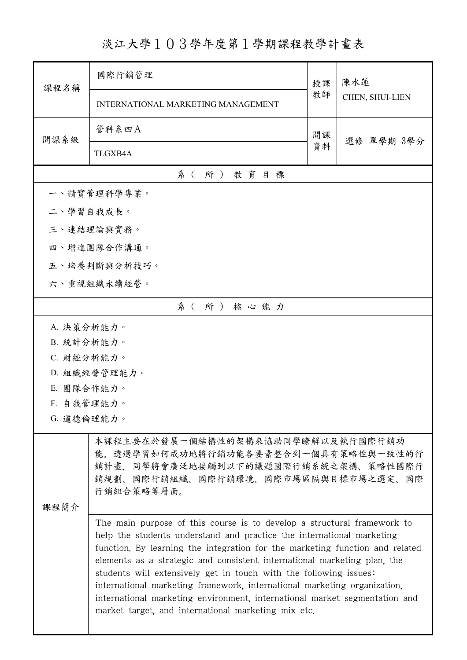淡江大學103學年度第1學期課程教學計畫表

| 課程名稱                                                                                                                                                                 | 國際行銷管理                                                                                                                                                                                                                                                                                                                                                                                                                                                                                                                                                                                             | 授課 | 陳水蓮             |  |  |  |  |
|----------------------------------------------------------------------------------------------------------------------------------------------------------------------|----------------------------------------------------------------------------------------------------------------------------------------------------------------------------------------------------------------------------------------------------------------------------------------------------------------------------------------------------------------------------------------------------------------------------------------------------------------------------------------------------------------------------------------------------------------------------------------------------|----|-----------------|--|--|--|--|
|                                                                                                                                                                      | INTERNATIONAL MARKETING MANAGEMENT                                                                                                                                                                                                                                                                                                                                                                                                                                                                                                                                                                 | 教師 | CHEN, SHUI-LIEN |  |  |  |  |
| 開課系級                                                                                                                                                                 | 管科系四A                                                                                                                                                                                                                                                                                                                                                                                                                                                                                                                                                                                              | 開課 | 選修 單學期 3學分      |  |  |  |  |
|                                                                                                                                                                      | <b>TLGXB4A</b>                                                                                                                                                                                                                                                                                                                                                                                                                                                                                                                                                                                     | 資料 |                 |  |  |  |  |
|                                                                                                                                                                      | 系(所)教育目標                                                                                                                                                                                                                                                                                                                                                                                                                                                                                                                                                                                           |    |                 |  |  |  |  |
|                                                                                                                                                                      | 一、精實管理科學專業。                                                                                                                                                                                                                                                                                                                                                                                                                                                                                                                                                                                        |    |                 |  |  |  |  |
| 二、學習自我成長。                                                                                                                                                            |                                                                                                                                                                                                                                                                                                                                                                                                                                                                                                                                                                                                    |    |                 |  |  |  |  |
|                                                                                                                                                                      | 三、連結理論與實務。                                                                                                                                                                                                                                                                                                                                                                                                                                                                                                                                                                                         |    |                 |  |  |  |  |
|                                                                                                                                                                      | 四、增進團隊合作溝通。                                                                                                                                                                                                                                                                                                                                                                                                                                                                                                                                                                                        |    |                 |  |  |  |  |
|                                                                                                                                                                      | 五、培養判斷與分析技巧。                                                                                                                                                                                                                                                                                                                                                                                                                                                                                                                                                                                       |    |                 |  |  |  |  |
|                                                                                                                                                                      | 六、重視組織永續經營。                                                                                                                                                                                                                                                                                                                                                                                                                                                                                                                                                                                        |    |                 |  |  |  |  |
|                                                                                                                                                                      | 系(所)核心能力                                                                                                                                                                                                                                                                                                                                                                                                                                                                                                                                                                                           |    |                 |  |  |  |  |
| A. 決策分析能力。                                                                                                                                                           |                                                                                                                                                                                                                                                                                                                                                                                                                                                                                                                                                                                                    |    |                 |  |  |  |  |
| B. 統計分析能力。                                                                                                                                                           |                                                                                                                                                                                                                                                                                                                                                                                                                                                                                                                                                                                                    |    |                 |  |  |  |  |
| C. 財經分析能力。                                                                                                                                                           |                                                                                                                                                                                                                                                                                                                                                                                                                                                                                                                                                                                                    |    |                 |  |  |  |  |
|                                                                                                                                                                      | D. 組織經營管理能力。                                                                                                                                                                                                                                                                                                                                                                                                                                                                                                                                                                                       |    |                 |  |  |  |  |
| E. 團隊合作能力。                                                                                                                                                           |                                                                                                                                                                                                                                                                                                                                                                                                                                                                                                                                                                                                    |    |                 |  |  |  |  |
| F. 自我管理能力。                                                                                                                                                           |                                                                                                                                                                                                                                                                                                                                                                                                                                                                                                                                                                                                    |    |                 |  |  |  |  |
| G. 道德倫理能力。                                                                                                                                                           |                                                                                                                                                                                                                                                                                                                                                                                                                                                                                                                                                                                                    |    |                 |  |  |  |  |
| 本課程主要在於發展一個結構性的架構來協助同學瞭解以及執行國際行銷功<br>能。透過學習如何成功地將行銷功能各要素整合到一個具有策略性與一致性的行<br>銷計畫,同學將會廣泛地接觸到以下的議題國際行銷系統之架構、策略性國際行<br>銷規劃、國際行銷組織、國際行銷環境、國際市場區隔與目標市場之選定、國際<br>行銷組合策略等層面。 |                                                                                                                                                                                                                                                                                                                                                                                                                                                                                                                                                                                                    |    |                 |  |  |  |  |
| 課程簡介                                                                                                                                                                 |                                                                                                                                                                                                                                                                                                                                                                                                                                                                                                                                                                                                    |    |                 |  |  |  |  |
|                                                                                                                                                                      | The main purpose of this course is to develop a structural framework to<br>help the students understand and practice the international marketing<br>function. By learning the integration for the marketing function and related<br>elements as a strategic and consistent international marketing plan, the<br>students will extensively get in touch with the following issues:<br>international marketing framework, international marketing organization,<br>international marketing environment, international market segmentation and<br>market target, and international marketing mix etc. |    |                 |  |  |  |  |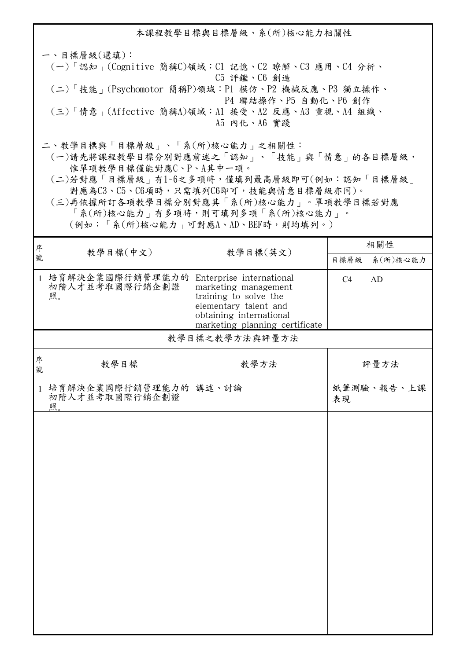本課程教學目標與目標層級、系(所)核心能力相關性 一、目標層級(選填): (一)「認知」(Cognitive 簡稱C)領域:C1 記憶、C2 瞭解、C3 應用、C4 分析、 C5 評鑑、C6 創造 (二)「技能」(Psychomotor 簡稱P)領域:P1 模仿、P2 機械反應、P3 獨立操作、 P4 聯結操作、P5 自動化、P6 創作 (三)「情意」(Affective 簡稱A)領域:A1 接受、A2 反應、A3 重視、A4 組織、 A5 內化、A6 實踐 二、教學目標與「目標層級」、「系(所)核心能力」之相關性:

 (一)請先將課程教學目標分別對應前述之「認知」、「技能」與「情意」的各目標層級, 惟單項教學目標僅能對應C、P、A其中一項。

 (二)若對應「目標層級」有1~6之多項時,僅填列最高層級即可(例如:認知「目標層級」 對應為C3、C5、C6項時,只需填列C6即可,技能與情意目標層級亦同)。

 (三)再依據所訂各項教學目標分別對應其「系(所)核心能力」。單項教學目標若對應 「系(所)核心能力」有多項時,則可填列多項「系(所)核心能力」。

(例如:「系(所)核心能力」可對應A、AD、BEF時,則均填列。)

| 序號           |                                          | 教學目標(英文)                                                                                                                                                        | 相關性  |            |
|--------------|------------------------------------------|-----------------------------------------------------------------------------------------------------------------------------------------------------------------|------|------------|
|              | 教學目標(中文)                                 |                                                                                                                                                                 | 目標層級 | 系(所)核心能力   |
| $\mathbf{1}$ | 培育解決企業國際行銷管理能力的 <br>初階人才並考取國際行銷企劃證<br>照。 | Enterprise international<br>marketing management<br>training to solve the<br>elementary talent and<br>obtaining international<br>marketing planning certificate | C4   | <b>AD</b>  |
|              |                                          | 教學目標之教學方法與評量方法                                                                                                                                                  |      |            |
| 序<br>號       | 教學目標                                     | 教學方法                                                                                                                                                            |      | 評量方法       |
| $\mathbf{1}$ | 培育解決企業國際行銷管理能力的<br>初階人才並考取國際行銷企劃證<br>照。  | 講述、討論                                                                                                                                                           | 表現   | 紙筆測驗、報告、上課 |
|              |                                          |                                                                                                                                                                 |      |            |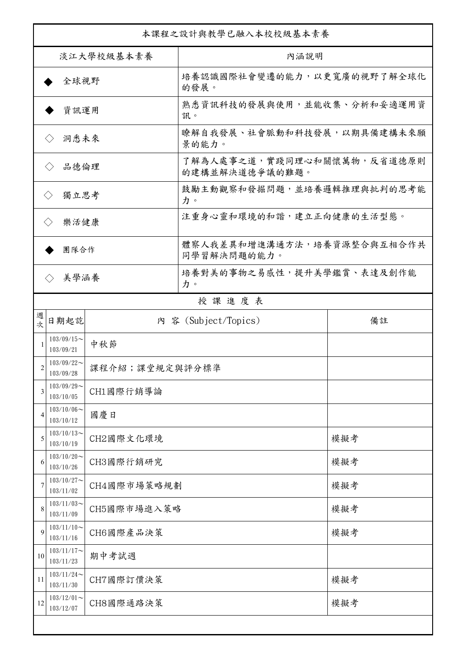| 本課程之設計與教學已融入本校校級基本素養        |                                              |             |                                              |     |  |
|-----------------------------|----------------------------------------------|-------------|----------------------------------------------|-----|--|
| 淡江大學校級基本素養                  |                                              |             | 內涵說明                                         |     |  |
| 全球視野                        |                                              |             | 培養認識國際社會變遷的能力,以更寬廣的視野了解全球化<br>的發展。           |     |  |
| 資訊運用                        |                                              |             | 熟悉資訊科技的發展與使用,並能收集、分析和妥適運用資<br>訊。             |     |  |
| 洞悉未來<br>$\langle \ \rangle$ |                                              |             | 瞭解自我發展、社會脈動和科技發展,以期具備建構未來願<br>景的能力。          |     |  |
| 品德倫理<br>$\langle \ \rangle$ |                                              |             | 了解為人處事之道,實踐同理心和關懷萬物,反省道德原則<br>的建構並解決道德爭議的難題。 |     |  |
| 獨立思考<br>$\langle \rangle$   |                                              |             | 鼓勵主動觀察和發掘問題,並培養邏輯推理與批判的思考能<br>力。             |     |  |
| 樂活健康<br>$\langle \rangle$   |                                              |             | 注重身心靈和環境的和諧,建立正向健康的生活型態。                     |     |  |
| 團隊合作                        |                                              |             | 體察人我差異和增進溝通方法,培養資源整合與互相合作共<br>同學習解決問題的能力。    |     |  |
| 美學涵養<br>$\langle \rangle$   |                                              |             | 培養對美的事物之易感性,提升美學鑑賞、表達及創作能<br>力。              |     |  |
|                             |                                              |             | 授課進度表                                        |     |  |
| 週<br>坎                      | 日期起訖                                         |             | 内 容 (Subject/Topics)                         | 備註  |  |
| 1                           | $103/09/15$ ~<br>103/09/21                   | 中秋節         |                                              |     |  |
| $\overline{c}$              | $103/09/22$ ~<br>課程介紹;課堂規定與評分標準<br>103/09/28 |             |                                              |     |  |
| 3                           | $103/09/29$ ~<br>103/10/05                   | CH1國際行銷導論   |                                              |     |  |
| $\overline{4}$              | $103/10/06 \sim$<br>103/10/12                | 國慶日         |                                              |     |  |
| 5                           | $103/10/13$ ~<br>103/10/19                   | CH2國際文化環境   |                                              | 模擬考 |  |
| 6                           | $103/10/20$ ~<br>103/10/26                   | CH3國際行銷研究   |                                              | 模擬考 |  |
| 7                           | $103/10/27$ ~<br>103/11/02                   | CH4國際市場策略規劃 |                                              | 模擬考 |  |
| 8                           | $103/11/03$ ~<br>103/11/09                   | CH5國際市場進入策略 |                                              | 模擬考 |  |
| 9                           | $103/11/10$ ~<br>103/11/16                   | CH6國際產品決策   |                                              | 模擬考 |  |
| 10                          | $103/11/17$ ~<br>103/11/23                   | 期中考試週       |                                              |     |  |
| 11                          | $103/11/24$ ~<br>103/11/30                   | CH7國際訂價決策   |                                              | 模擬考 |  |
| 12                          | $103/12/01$ ~<br>103/12/07                   | CH8國際通路決策   |                                              | 模擬考 |  |
|                             |                                              |             |                                              |     |  |